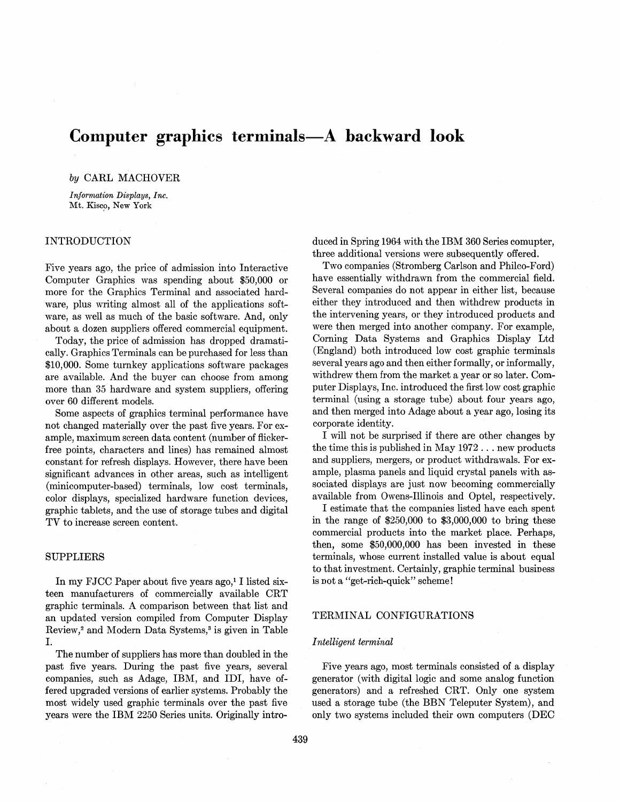# Computer graphics terminals—A backward look

## *by* CARL MACHOVER

*Information Displays, Inc.*  Mt. Kisco, New York

## INTRODUCTION

Five years ago, the price of admission into Interactive Computer Graphics was spending about \$50,000 or more for the Graphics Terminal and associated hardware, plus writing almost all of the applications software, as well as much of the basic software. And, only about a dozen suppliers offered commercial equipment.

Today, the price of admission has dropped dramatically. Graphics Terminals can be purchased for less than \$10,000. Some turnkey applications software packages are available. And the buyer can choose from among more than 35 hardware and system suppliers, offering over 60 different models.

Some aspects of graphics terminal performance have not changed materially over the past five years. For example, maximum screen data content (number of flickerfree points, characters and lines) has remained almost constant for refresh displays. However, there have been significant advances in other areas, such as intelligent (minicomputer-based) terminals, low cost terminals, color displays, specialized hardware function devices, graphic tablets, and the use of storage tubes and digital TV to increase screen content.

## SUPPLIERS

In my FJCC Paper about five years ago,<sup>1</sup> I listed sixteen manufacturers of commercially available CRT graphic terminals. A comparison between that list and an updated version compiled from Computer Display Review,<sup>2</sup> and Modern Data Systems,<sup>3</sup> is given in Table I.

The number of suppliers has more than doubled in the past five years. During the past five years, several companies, such as Adage, IBM, and IDI, have offered upgraded versions of earlier systems. Probably the most widely used graphic terminals over the past five years were the IBM 2250 Series units. Originally introduced in Spring 1964 with the IBM 360 Series comupter, three additional versions were subsequently offered.

Two companies (Stromberg Carlson and Philco-Ford) have essentially withdrawn from the commercial field. Several companies do not appear in either list, because either they introduced and then withdrew products in the intervening years, or they introduced products and were then merged into another company. For example, Corning Data Systems and Graphics Display Ltd (England) both introduced low cost graphic terminals several years ago and then either formally, or informally, withdrew them from the market a year or so later. Computer Displays, Inc. introduced the first low cost graphic terminal (using a storage tube) about four years ago, and then merged into Adage about a year ago, losing its corporate identity.

I will not be surprised if there are other changes by the time this is published in May 1972 . . . new products and suppliers, mergers, or product withdrawals. For example, plasma panels and liquid crystal panels with associated displays are just now becoming commercially available from Owens-Illinois and Optel, respectively.

I estimate that the companies listed have each spent in the range of \$250,000 to \$3,000,000 to bring these commercial products into the market place. Perhaps, then, some \$50,000,000 has been invested in these terminals, whose current installed value is about equal to that investment. Certainly, graphic terminal business is not a "get-rich-quick" scheme!

#### TERMINAL CONFIGURATIONS

#### *Intelligent terminal*

Five years ago, most terminals consisted of a display generator (with digital logic and some analog function generators) and a refreshed CRT. Only one system used a storage tube (the BBN Teleputer System), and only two systems included their own computers (DEC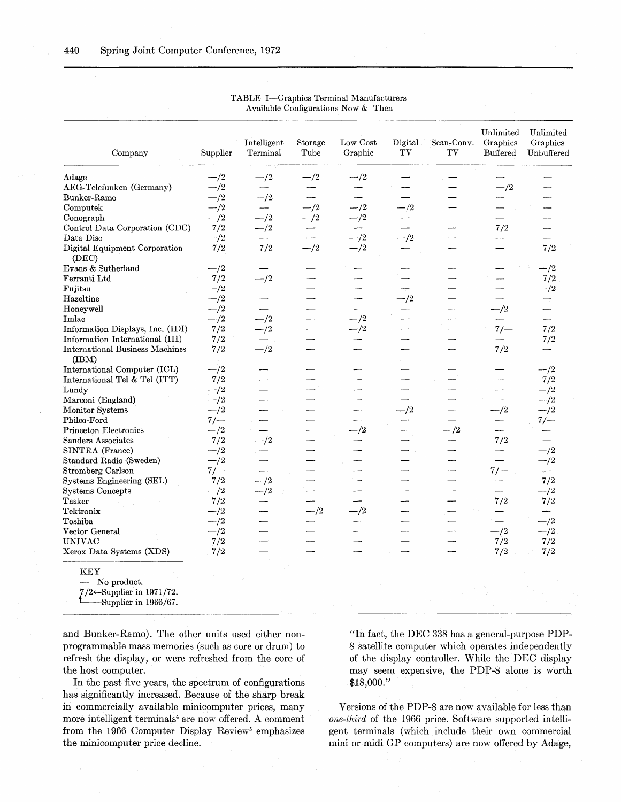| Company                                         | Supplier       | Intelligent<br>Terminal       | Storage<br>Tube          | Low Cost<br>Graphic           | Digital<br>$\operatorname{TV}$ | Scan-Conv.<br>TV         | Unlimited<br>Graphics<br><b>Buffered</b> | Unlimited<br>Graphics<br>Unbuffered |
|-------------------------------------------------|----------------|-------------------------------|--------------------------|-------------------------------|--------------------------------|--------------------------|------------------------------------------|-------------------------------------|
| Adage                                           | $-$ /2         | $-\frac{2}{2}$                | $-$ /2                   | $-\frac{2}{2}$                |                                |                          |                                          |                                     |
| AEG-Telefunken (Germany)                        | $-1/2$         | $\overline{\phantom{a}}$      |                          | $\overline{\phantom{m}}$      |                                |                          | $-1/2$                                   |                                     |
| Bunker-Ramo                                     | $-1/2$         | $-/2$                         | $\frac{1}{2}$            | $\overbrace{\phantom{13333}}$ |                                |                          |                                          |                                     |
| Computek                                        | $-1/2$         | $\overline{\phantom{a}}$      | $-1/2$                   | $-\frac{2}{2}$                | $-\sqrt{2}$                    |                          |                                          |                                     |
| Conograph                                       | $-$ /2         | $-$ /2                        | $-1/2$                   | $-/2$                         |                                |                          |                                          |                                     |
| Control Data Corporation (CDC)                  | 7/2            | $-/2$                         |                          | $\overline{\phantom{m}}$      |                                |                          | 7/2                                      |                                     |
| Data Disc                                       | $-$ /2         | $\overline{\phantom{m}}$      | $\overline{\phantom{0}}$ | $-1/2$                        | $-1/2$                         |                          | ---                                      |                                     |
| Digital Equipment Corporation<br>(DEC)          | 7/2            | 7/2                           | $-1/2$                   | $-1/2$                        |                                |                          |                                          | 7/2                                 |
| Evans & Sutherland                              | $-\frac{2}{2}$ |                               |                          | —<br>——                       |                                |                          |                                          | $-\frac{2}{2}$                      |
| Ferranti Ltd                                    | 7/2            | $-1/2$                        |                          |                               |                                |                          |                                          | 7/2                                 |
| Fujitsu                                         | $-$ /2         |                               |                          |                               | $\overline{\phantom{0}}$       |                          |                                          | $-\frac{2}{2}$                      |
| Hazeltine                                       | $-1/2$         | $\overline{\phantom{0}}$      |                          | --                            | $-1/2$                         |                          |                                          |                                     |
| Honeywell                                       | $-1/2$         | $\overline{\phantom{0}}$      |                          |                               |                                | ——                       | $-1/2$                                   |                                     |
| Imlac                                           | $-/2$          | $-1/2$                        |                          | $-1/2$                        |                                | ---                      | $\overline{\phantom{0}}$                 | $\equiv$                            |
| Information Displays, Inc. (IDI)                | 7/2            | $-\frac{1}{2}$                |                          | $-\frac{2}{2}$                |                                |                          | 7/                                       | 7/2                                 |
| Information International (III)                 | 7/2            | $\overbrace{\phantom{13333}}$ |                          | -                             |                                |                          |                                          | 7/2                                 |
| <b>International Business Machines</b><br>(IBM) | 7/2            | $-$ /2                        |                          |                               |                                |                          | 7/2                                      | --                                  |
| International Computer (ICL)                    | $-/2$          |                               |                          |                               |                                |                          |                                          | $-1/2$                              |
| International Tel & Tel (ITT)                   | 7/2            | $\overline{\phantom{0}}$      |                          | --                            |                                |                          |                                          | 7/2                                 |
| Lundy                                           | $-1/2$         |                               |                          |                               |                                |                          |                                          | $-\frac{2}{2}$                      |
| Marconi (England)                               | $-1/2$         |                               |                          |                               | $\overline{\phantom{0}}$       |                          | $\overline{\phantom{0}}$                 | $-1/2$                              |
| Monitor Systems                                 | $-1/2$         |                               |                          | -                             | $-1/2$                         |                          | $-\frac{2}{2}$                           | $-1/2$                              |
| Philco-Ford                                     | 7/             |                               |                          | --                            |                                | $\overline{\phantom{a}}$ | ---                                      | 7/                                  |
| Princeton Electronics                           | $-/2$          |                               |                          | $-\frac{1}{2}$                |                                | $-\frac{2}{2}$           | $\overline{\phantom{0}}$                 | $\overline{\phantom{m}}$            |
| Sanders Associates                              | 7/2            | $-1/2$                        |                          |                               |                                | ÷                        | 7/2                                      |                                     |
| SINTRA (France)                                 | $-1/2$         |                               |                          |                               |                                |                          | $\overline{\phantom{0}}$                 | $-\frac{2}{2}$                      |
| Standard Radio (Sweden)                         | $-/2$          | $\overline{\phantom{0}}$      |                          |                               |                                |                          | $\overbrace{\phantom{1232111}}$          | $-1/2$                              |
| Stromberg Carlson                               | 7/             | $\overline{\phantom{a}}$      |                          |                               |                                | ---                      | 7/                                       | $\overline{\phantom{m}}$            |
| Systems Engineering (SEL)                       | 7/2            | $-1/2$                        |                          |                               |                                |                          |                                          | 7/2                                 |
| <b>Systems Concepts</b>                         | $-\!/2$        | $-\frac{1}{2}$                |                          |                               |                                |                          |                                          | $-1/2$                              |
| Tasker                                          | 7/2            |                               |                          | $\overline{\phantom{0}}$      |                                |                          | 7/2                                      | 7/2                                 |
| Tektronix                                       | $-1/2$         |                               | $-1/2$                   | $-\frac{2}{2}$                |                                |                          |                                          | الشد                                |
| Toshiba                                         | $-1/2$         |                               |                          |                               |                                |                          | $\overline{\phantom{0}}$                 | $-\frac{2}{2}$                      |
| Vector General                                  | $-\frac{2}{2}$ |                               |                          |                               |                                |                          | $-1/2$                                   | $-1/2$                              |
| <b>UNIVAC</b>                                   | 7/2            |                               |                          |                               |                                |                          | 7/2                                      | 7/2                                 |
| Xerox Data Systems (XDS)                        | 7/2            |                               |                          |                               |                                |                          | 7/2                                      | 7/2                                 |
| <b>KEY</b><br>- No product.                     |                |                               |                          |                               |                                |                          |                                          |                                     |

TABLE I—Graphics Terminal Manufacturers Available Configurations Now & Then

7/2<-Supplier in 1971/72.

 $-$  Supplier in 1966/67.

and Bunker-Ramo). The other units used either nonprogrammable mass memories (such as core or drum) to refresh the display, or were refreshed from the core of the host computer.

In the past five years, the spectrum of configurations has significantly increased. Because of the sharp break in commercially available minicomputer prices, many more intelligent terminals<sup>4</sup> are now offered. A comment from the 1966 Computer Display Review<sup>5</sup> emphasizes the minicomputer price decline.

"In fact, the DEC 338 has a general-purpose PDP-8 satellite computer which operates independently of the display controller. While the DEC display may seem expensive, the PDP-8 alone is worth \$18,000."

Versions of the PDP-8 are now available for less than *one-third* of the 1966 price. Software supported intelligent terminals (which include their own commercial mini or midi GP computers) are now offered by Adage,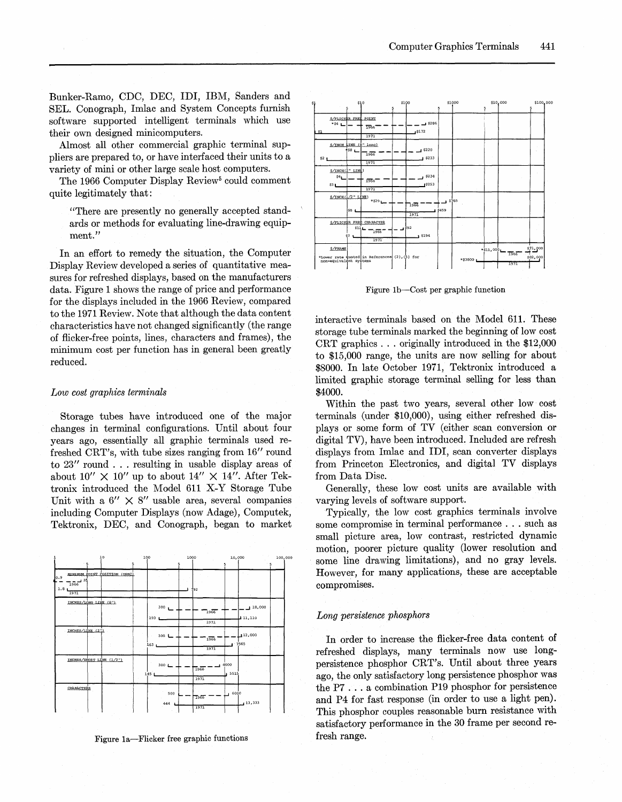Bunker-Ramo, CDC, DEC, IDI, IBM, Sanders and SEL. Conograph, Imlac and System Concepts furnish software supported intelligent terminals which use their own designed minicomputers.

Almost all other commercial graphic terminal suppliers are prepared to, or have interfaced their units to a variety of mini or other large scale host computers.

The 1966 Computer Display Review<sup>5</sup> could comment quite legitimately that:

"There are presently no generally accepted standards or methods for evaluating line-drawing equipment."

In an effort to remedy the situation, the Computer Display Review developed a series of quantitative measures for refreshed displays, based on the manufacturers data. Figure 1 shows the range of price and performance for the displays included in the 1966 Review, compared to the 1971 Review. Note that although the data content characteristics have not changed significantly (the range of flicker-free points, lines, characters and frames), the minimum cost per function has in general been greatly reduced.

#### *Low cost graphics terminals*

Storage tubes have introduced one of the major changes in terminal configurations. Until about four years ago, essentially all graphic terminals used refreshed CRT's, with tube sizes ranging from 16" round to 23" round . . . resulting in usable display areas of about 10"  $\times$  10" up to about 14"  $\times$  14". After Tektronix introduced the Model 611 X-Y Storage Tube Unit with a  $6'' \times 8''$  usable area, several companies including Computer Displays (now Adage), Computek, Tektronix, DEC, and Conograph, began to market

|                         |                          | 10 |                               | 100 |                         | 1000 |              | 10,000       |                      | 100,000 |
|-------------------------|--------------------------|----|-------------------------------|-----|-------------------------|------|--------------|--------------|----------------------|---------|
| 0.9<br>1.8 <sub>1</sub> | в<br>1966<br>1971        |    | MINIMUM POINT POSITION (USEC) |     |                         |      | 792          |              |                      |         |
|                         | INCHES/LONG LINE (8")    |    |                               |     | 300<br>193              |      | 1966<br>1971 |              | 18,000<br>111,110    |         |
|                         | INCHES/LINE (2")         |    |                               |     | $300 -$<br>163          |      | 1966<br>1971 |              | 12,000<br>$1 - 7565$ |         |
|                         | INCHES/SHORT LINE (1/2") |    |                               |     | 300 <sub>1</sub><br>145 |      | 1966<br>1971 | 4000<br>5515 |                      |         |
|                         | <b>CHARACTERS</b>        |    |                               |     | 500<br>444              |      | 1966<br>1971 | 6000         | 113,333              |         |

Figure la—Flicker free graphic functions



Figure lb—Cost per graphic function

interactive terminals based on the Model 611. These storage tube terminals marked the beginning of low cost CRT graphics . . . originally introduced in the \$12,000 to \$15,000 range, the units are now selling for about \$8000. In late October 1971, Tektronix introduced a limited graphic storage terminal selling for less than \$4000.

Within the past two years, several other low cost terminals (under \$10,000), using either refreshed displays or some form of TV (either scan conversion or digital TV), have been introduced. Included are refresh displays from Imlac and IDI, scan converter displays from Princeton Electronics, and digital TV displays from Data Disc.

Generally, these low cost units are available with varying levels of software support.

Typically, the low cost graphics terminals involve some compromise in terminal performance . . . such as small picture area, low contrast, restricted dynamic motion, poorer picture quality (lower resolution and some line drawing limitations), and no gray levels. However, for many applications, these are acceptable compromises.

#### *Long persistence phosphors*

In order to increase the flicker-free data content of refreshed displays, many terminals now use longpersistence phosphor CRT's. Until about three years ago, the only satisfactory long persistence phosphor was the P7 .. . a combination P19 phosphor for persistence and P4 for fast response (in order to use a light pen). This phosphor couples reasonable burn resistance with satisfactory performance in the 30 frame per second refresh range.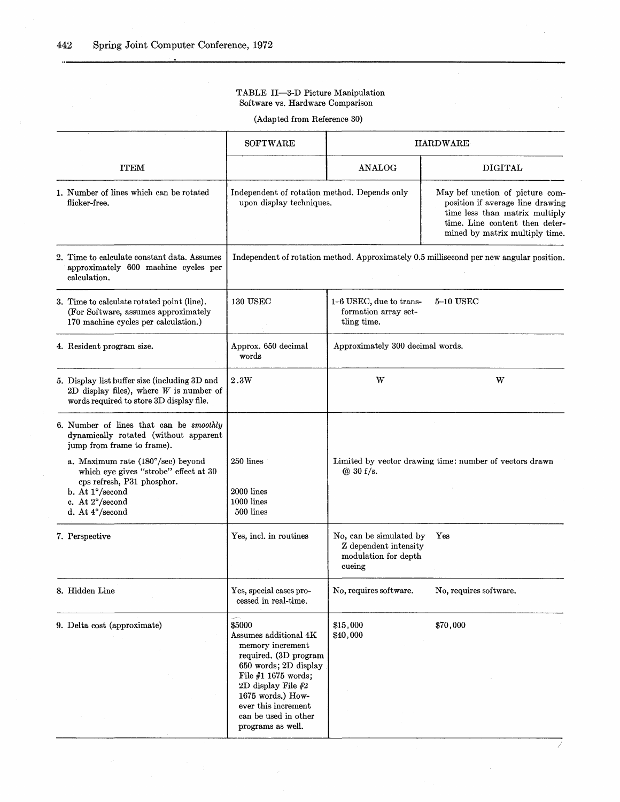$\sim$ 

#### TABLE II—3-D Picture Manipulation Software vs. Hardware Comparison

(Adapted from Reference 30)

|                             |                                                                                                                                                                   | <b>SOFTWARE</b>                                                                                                                                                                                                                               | <b>HARDWARE</b>                                                                    |                                                                                                                                                                           |  |  |
|-----------------------------|-------------------------------------------------------------------------------------------------------------------------------------------------------------------|-----------------------------------------------------------------------------------------------------------------------------------------------------------------------------------------------------------------------------------------------|------------------------------------------------------------------------------------|---------------------------------------------------------------------------------------------------------------------------------------------------------------------------|--|--|
|                             | <b>ITEM</b>                                                                                                                                                       |                                                                                                                                                                                                                                               | ANALOG                                                                             | DIGITAL                                                                                                                                                                   |  |  |
|                             | 1. Number of lines which can be rotated<br>flicker-free.                                                                                                          | Independent of rotation method. Depends only<br>upon display techniques.                                                                                                                                                                      |                                                                                    | May bef unction of picture com-<br>position if average line drawing<br>time less than matrix multiply<br>time. Line content then deter-<br>mined by matrix multiply time. |  |  |
|                             | 2. Time to calculate constant data, Assumes<br>approximately 600 machine cycles per<br>calculation.                                                               | Independent of rotation method. Approximately 0.5 millisecond per new angular position.                                                                                                                                                       |                                                                                    |                                                                                                                                                                           |  |  |
|                             | 3. Time to calculate rotated point (line).<br>(For Software, assumes approximately<br>170 machine cycles per calculation.)                                        | <b>130 USEC</b>                                                                                                                                                                                                                               | 1-6 USEC, due to trans-<br>5-10 USEC<br>formation array set-<br>tling time.        |                                                                                                                                                                           |  |  |
|                             | 4. Resident program size.                                                                                                                                         | Approx. 650 decimal<br>words                                                                                                                                                                                                                  | Approximately 300 decimal words.                                                   |                                                                                                                                                                           |  |  |
|                             | 5. Display list buffer size (including 3D and<br>2D display files), where $W$ is number of<br>words required to store 3D display file.                            | 2.3W                                                                                                                                                                                                                                          | W                                                                                  | w                                                                                                                                                                         |  |  |
|                             | 6. Number of lines that can be smoothly<br>dynamically rotated (without apparent<br>jump from frame to frame).                                                    |                                                                                                                                                                                                                                               |                                                                                    |                                                                                                                                                                           |  |  |
|                             | a. Maximum rate (180°/sec) beyond<br>which eye gives "strobe" effect at 30<br>cps refresh, P31 phosphor.<br>b. At 1°/second<br>c. At 2°/second<br>d. At 4°/second | 250 lines<br>2000 lines<br>1000 lines<br>500 lines                                                                                                                                                                                            | @30f/s.                                                                            | Limited by vector drawing time: number of vectors drawn                                                                                                                   |  |  |
|                             | 7. Perspective                                                                                                                                                    | Yes, incl. in routines                                                                                                                                                                                                                        | No, can be simulated by<br>Z dependent intensity<br>modulation for depth<br>cueing | $_{\rm Yes}$                                                                                                                                                              |  |  |
|                             | 8. Hidden Line                                                                                                                                                    | Yes, special cases pro-<br>cessed in real-time.                                                                                                                                                                                               | No, requires software.                                                             | No, requires software.                                                                                                                                                    |  |  |
| 9. Delta cost (approximate) |                                                                                                                                                                   | \$5000<br>Assumes additional 4K<br>memory increment<br>required. (3D program<br>650 words; 2D display<br>File #1 1675 words;<br>2D display File $#2$<br>1675 words.) How-<br>ever this increment<br>can be used in other<br>programs as well. | \$15,000<br>\$40,000                                                               | \$70,000                                                                                                                                                                  |  |  |

 $\overline{\mathscr{E}}$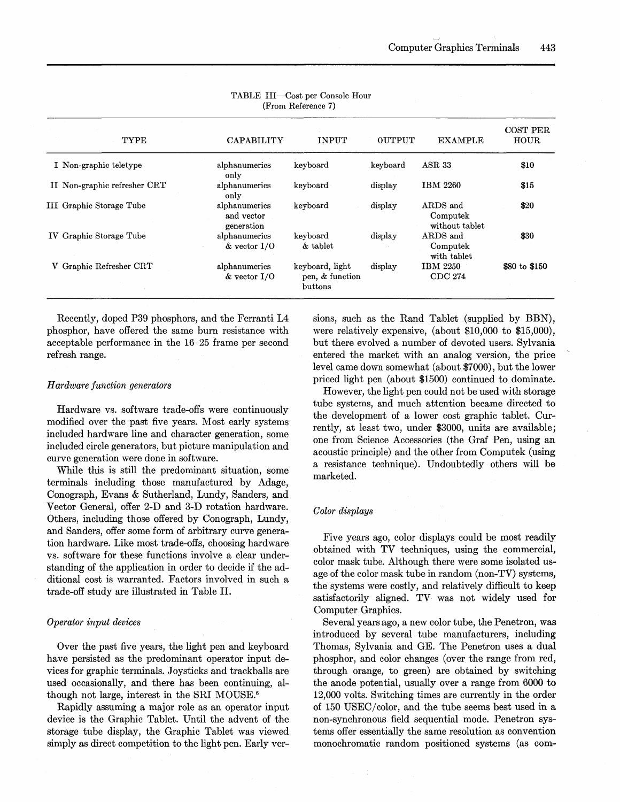|               | <b>TYPE</b>                  | <b>CAPABILITY</b>                         | <b>INPUT</b>                                  | <b>OUTPUT</b> | <b>EXAMPLE</b>                         | <b>COST PER</b><br><b>HOUR</b> |
|---------------|------------------------------|-------------------------------------------|-----------------------------------------------|---------------|----------------------------------------|--------------------------------|
|               | I Non-graphic teletype       | alphanumerics<br>only                     | keyboard                                      | keyboard      | ASR 33                                 | \$10                           |
|               | II Non-graphic refresher CRT | alphanumerics<br>only                     | keyboard                                      | display       | IBM 2260                               | \$15                           |
|               | III Graphic Storage Tube     | alphanumerics<br>and vector<br>generation | keyboard                                      | display       | ARDS and<br>Computek<br>without tablet | \$20                           |
| $\mathbf{IV}$ | Graphic Storage Tube         | alphanumerics<br>$\&$ vector $I/O$        | keyboard<br>$\&$ tablet                       | display       | ARDS and<br>Computek<br>with tablet    | \$30                           |
|               | V Graphic Refresher CRT      | alphanumerics<br>$\&$ vector $I/O$        | keyboard, light<br>pen, & function<br>buttons | display       | <b>IBM 2250</b><br><b>CDC 274</b>      | \$80 to \$150                  |

#### TABLE III—Cost per Console Hour (From Reference 7)

Recently, doped P39 phosphors, and the Ferranti L4 phosphor, have offered the same burn resistance with acceptable performance in the 16-25 frame per second refresh range.

#### *Hardware function generators*

Hardware vs. software trade-offs were continuously modified over the past five years. Most early systems included hardware line and character generation, some included circle generators, but picture manipulation and curve generation were done in software.

While this is still the predominant situation, some terminals including those manufactured by Adage, Conograph, Evans & Sutherland, Lundy, Sanders, and Vector General, offer 2-D and 3-D rotation hardware. Others, including those offered by Conograph, Lundy, and Sanders, offer some form of arbitrary curve generation hardware. Like most trade-offs, choosing hardware vs. software for these functions involve a clear understanding of the application in order to decide if the additional cost is warranted. Factors involved in such a trade-off study are illustrated in Table II.

## *Operator input devices*

Over the past five years, the light pen and keyboard have persisted as the predominant operator input devices for graphic terminals. Joysticks and trackballs are used occasionally, and there has been continuing, although not large, interest in the SRI MOUSE.<sup>6</sup>

Rapidly assuming a major role as an operator input device is the Graphic Tablet. Until the advent of the storage tube display, the Graphic Tablet was viewed simply as direct competition to the light pen. Early versions, such as the Rand Tablet (supplied by BBN), were relatively expensive, (about \$10,000 to \$15,000), but there evolved a number of devoted users. Sylvania entered the market with an analog version, the price level came down somewhat (about \$7000), but the lower priced light pen (about \$1500) continued to dominate.

However, the light pen could not be used with storage tube systems, and much attention became directed to the development of a lower cost graphic tablet. Currently, at least two, under \$3000, units are available; one from Science Accessories (the Graf Pen, using an acoustic principle) and the other from Computek (using a resistance technique). Undoubtedly others will be marketed.

## *Color displays*

Five years ago, color displays could be most readily obtained with TV techniques, using the commercial, color mask tube. Although there were some isolated usage of the color mask tube in random (non-TV) systems, the systems were costly, and relatively difficult to keep satisfactorily aligned. TV was not widely used for Computer Graphics.

Several years ago, a new color tube, the Penetron, was introduced by several tube manufacturers, including Thomas, Sylvania and GE. The Penetron uses a dual phosphor, and color changes (over the range from red, through orange, to green) are obtained by switching the anode potential, usually over a range from 6000 to 12,000 volts. Switching times are currently in the order of 150 USEC/color, and the tube seems best used in a non-synchronous field sequential mode. Penetron systems offer essentially the same resolution as convention monochromatic random positioned systems (as com-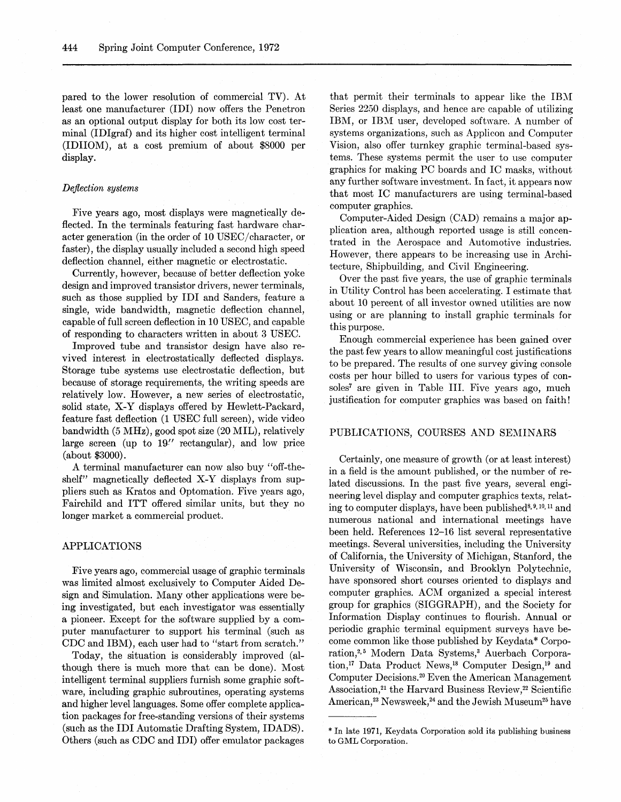pared to the lower resolution of commercial TV). At least one manufacturer (IDI) now offers the Penetron as an optional output display for both its low cost terminal (IDIgraf) and its higher cost intelligent terminal (IDIIOM), at a cost premium of about \$8000 per display.

## *Deflection systems*

Five years ago, most displays were magnetically deflected. In the terminals featuring fast hardware character generation (in the order of 10 USEC/character, or faster), the display usually included a second high speed deflection channel, either magnetic or electrostatic.

Currently, however, because of better deflection yoke design and improved transistor drivers, newer terminals, such as those supplied by IDI and Sanders, feature a single, wide bandwidth, magnetic deflection channel, capable of full screen deflection in 10 USEC, and capable of responding to characters written in about 3 USEC.

Improved tube and transistor design have also revived interest in electrostatically deflected displays. Storage tube systems use electrostatic deflection, but because of storage requirements, the writing speeds are relatively low. However, a new series of electrostatic, solid state, X-Y displays offered by Hewlett-Packard, feature fast deflection (1 USEC full screen), wide video bandwidth (5 MHz), good spot size (20 MIL), relatively large screen (up to  $19''$  rectangular), and low price (about \$3000).

A terminal manufacturer can now also buy "off-theshelf" magnetically deflected X-Y displays from suppliers such as Kratos and Optomation. Five years ago, Fairchild and ITT offered similar units, but they no longer market a commercial product.

### APPLICATIONS

Five years ago, commercial usage of graphic terminals was limited almost exclusively to Computer Aided Design and Simulation. Many other applications were being investigated, but each investigator was essentially a pioneer. Except for the software supplied by a computer manufacturer to support his terminal (such as CDC and IBM), each user had to "start from scratch."

Today, the situation is considerably improved (although there is much more that can be done). Most intelligent terminal suppliers furnish some graphic software, including graphic subroutines, operating systems and higher level languages. Some offer complete application packages for free-standing versions of their systems (such as the IDI Automatic Drafting System, IDADS). Others (such as CDC and IDI) offer emulator packages

that permit their terminals to appear like the IBM Series 2250 displays, and hence are capable of utilizing IBM, or IBM user, developed software. A number of systems organizations, such as Applicon and Computer Vision, also offer turnkey graphic terminal-based systems. These systems permit the user to use computer graphics for making PC boards and IC masks, without any further software investment. In fact, it appears now that most IC manufacturers are using terminal-based computer graphics.

Computer-Aided Design (CAD) remains a major application area, although reported usage is still concentrated in the Aerospace and Automotive industries. However, there appears to be increasing use in Architecture, Shipbuilding, and Civil Engineering.

Over the past five years, the use of graphic terminals in Utility Control has been accelerating. I estimate that about 10 percent of all investor owned utilities are now using or are planning to install graphic terminals for this purpose.

Enough commercial experience has been gained over the past few years to allow meaningful cost justifications to be prepared. The results of one survey giving console costs per hour billed to users for various types of consoles<sup>7</sup> are given in Table III. Five years ago, much justification for computer graphics was based on faith!

## PUBLICATIONS, COURSES AND SEMINARS

Certainly, one measure of growth (or at least interest) in a field is the amount published, or the number of related discussions. In the past five years, several engineering level display and computer graphics texts, relating to computer displays, have been published<sup>8, 9, 10, 11</sup> and numerous national and international meetings have been held. References 12-16 list several representative meetings. Several universities, including the University of California, the University of Michigan, Stanford, the University of Wisconsin, and Brooklyn Polytechnic, have sponsored short courses oriented to displays and computer graphics. ACM organized a special interest group for graphics (SIGGRAPH), and the Society for Information Display continues to flourish. Annual or periodic graphic terminal equipment surveys have become common like those published by Keydata\* Corporation,<sup>2,5</sup> Modern Data Systems,<sup>3</sup> Auerbach Corporation,<sup>17</sup> Data Product News,<sup>18</sup> Computer Design,<sup>19</sup> and Computer Decisions.<sup>20</sup> Even the American Management Association,<sup>21</sup> the Harvard Business Review,<sup>22</sup> Scientific American,<sup>23</sup> Newsweek,<sup>24</sup> and the Jewish Museum<sup>25</sup> have

<sup>\*</sup> In late 1971, Keydata Corporation sold its publishing business to GML Corporation.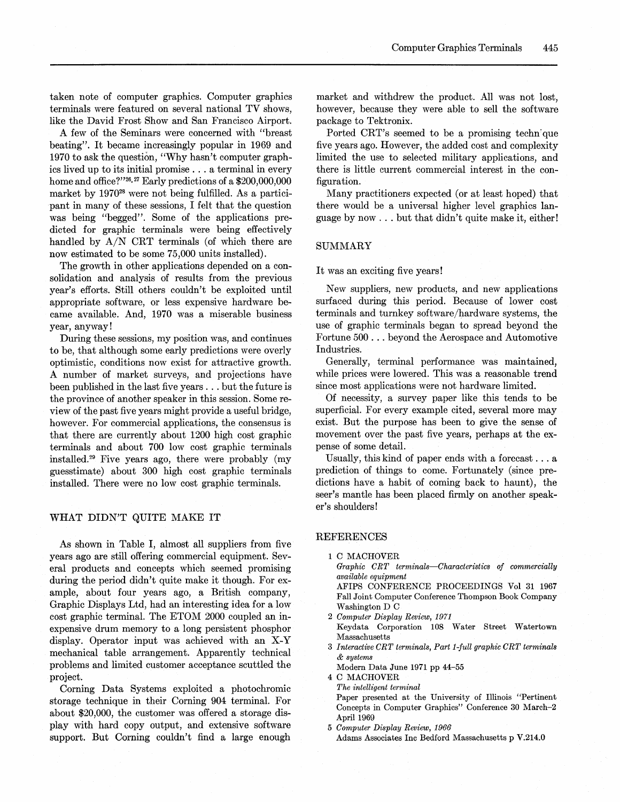taken note of computer graphics. Computer graphics terminals were featured on several national TV shows, like the David Frost Show and San Francisco Airport.

A few of the Seminars were concerned with "breast beating". It became increasingly popular in 1969 and 1970 to ask the question, "Why hasn't computer graphics lived up to its initial promise .. . a terminal in every home and office?"<sup>26, 27</sup> Early predictions of a \$200,000,000 market by 1970<sup>28</sup> were not being fulfilled. As a participant in many of these sessions, I felt that the question was being "begged". Some of the applications predicted for graphic terminals were being effectively handled by A/N CRT terminals (of which there are now estimated to be some 75,000 units installed).

The growth in other applications depended on a consolidation and analysis of results from the previous year's efforts. Still others couldn't be exploited until appropriate software, or less expensive hardware became available. And, 1970 was a miserable business year, anyway!

During these sessions, my position was, and continues to be, that although some early predictions were overly optimistic, conditions now exist for attractive growth. A number of market surveys, and projections have been published in the last five years . . . but the future is the province of another speaker in this session. Some review of the past five years might provide a useful bridge, however. For commercial applications, the consensus is that there are currently about 1200 high cost graphic terminals and about 700 low cost graphic terminals installed.<sup>29</sup> Five years ago, there were probably (my guesstimate) about 300 high cost graphic terminals installed. There were no low cost graphic terminals.

## WHAT DIDN'T QUITE MAKE IT

As shown in Table I, almost all suppliers from five years ago are still offering commercial equipment. Several products and concepts which seemed promising during the period didn't quite make it though. For example, about four years ago, a British company, Graphic Displays Ltd, had an interesting idea for a low cost graphic terminal. The ETOM 2000 coupled an inexpensive drum memory to a long persistent phosphor display. Operator input was achieved with an X-Y mechanical table arrangement. Apparently technical problems and limited customer acceptance scuttled the project.

Corning Data Systems exploited a photochromic storage technique in their Corning 904 terminal. For about \$20,000, the customer was offered a storage display with hard copy output, and extensive software support. But Corning couldn't find a large enough

market and withdrew the product. All was not lost, however, because they were able to sell the software package to Tektronix.

Ported CRT's seemed to be a promising techn'que five years ago. However, the added cost and complexity limited the use to selected military applications, and there is little current commercial interest in the configuration.

Many practitioners expected (or at least hoped) that there would be a universal higher level graphics language by now . . . but that didn't quite make it, either!

## SUMMARY

#### It was an exciting five years!

New suppliers, new products, and new applications surfaced during this period. Because of lower cost terminals and turnkey software/hardware systems, the use of graphic terminals began to spread beyond the Fortune 500 . . . beyond the Aerospace and Automotive Industries.

Generally, terminal performance was maintained, while prices were lowered. This was a reasonable trend since most applications were not hardware limited.

Of necessity, a survey paper like this tends to be superficial. For every example cited, several more may exist. But the purpose has been to give the sense of movement over the past five years, perhaps at the expense of some detail.

Usually, this kind of paper ends with a forecast... a prediction of things to come. Fortunately (since predictions have a habit of coming back to haunt), the seer's mantle has been placed firmly on another speaker's shoulders!

#### REFERENCES

1 C MACHOVER

*Graphic CRT terminals*—*Characteristics of commercially available equipment* 

- AFIPS CONFERENCE PROCEEDINGS Vol 31 1967 Fall Joint Computer Conference Thompson Book Company-Washington D C
- 2 *Computer Display Review, 1971*
- Key data Corporation 108 Water Street Watertown Massachusetts
- 3 *Interactive CRT terminals, Part 1-full graphic CRT terminals & systems*
- Modern Data June 1971 pp 44-55
- 4 C MACHOVER *The intelligent terminal* 
	- Paper presented at the University of Illinois "Pertinent Concepts in Computer Graphics" Conference 30 March-2 April 1969

5 *Computer Display Review, 1966* 

Adams Associates Inc Bedford Massachusetts p V.214.0